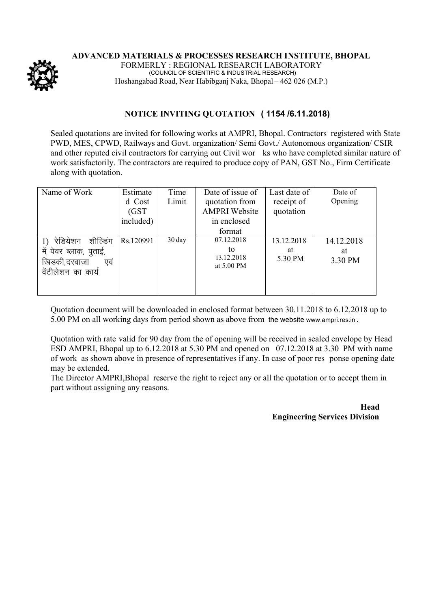

**ADVANCED MATERIALS & PROCESSES RESEARCH INSTITUTE, BHOPAL**

FORMERLY : REGIONAL RESEARCH LABORATORY (COUNCIL OF SCIENTIFIC & INDUSTRIAL RESEARCH) Hoshangabad Road, Near Habibganj Naka, Bhopal – 462 026 (M.P.)

## **NOTICE INVITING QUOTATION ( 1154 /6.11.2018)**

Sealed quotations are invited for following works at AMPRI, Bhopal. Contractors registered with State PWD, MES, CPWD, Railways and Govt. organization/ Semi Govt./ Autonomous organization/ CSIR and other reputed civil contractors for carrying out Civil wor ks who have completed similar nature of work satisfactorily. The contractors are required to produce copy of PAN, GST No., Firm Certificate along with quotation.

| Name of Work           | Estimate  | Time             | Date of issue of         | Last date of | Date of    |
|------------------------|-----------|------------------|--------------------------|--------------|------------|
|                        | d Cost    | Limit            | quotation from           | receipt of   | Opening    |
|                        | (GST)     |                  | <b>AMPRI</b> Website     | quotation    |            |
|                        | included) |                  | in enclosed              |              |            |
|                        |           |                  | format                   |              |            |
| शील्डिंग<br>रेडियेशन   | Rs.120991 | $30 \text{ day}$ | 07.12.2018               | 13.12.2018   | 14.12.2018 |
| में पेवर ब्लाक, पुताई, |           |                  | to                       | at           | at         |
| खिडकी,दरवाजा<br>एव     |           |                  | 13.12.2018<br>at 5.00 PM | 5.30 PM      | 3.30 PM    |
| वेंटीलेशन का कार्य     |           |                  |                          |              |            |
|                        |           |                  |                          |              |            |
|                        |           |                  |                          |              |            |

Quotation document will be downloaded in enclosed format between 30.11.2018 to 6.12.2018 up to 5.00 PM on all working days from period shown as above from the website www.ampri.res.in .

Quotation with rate valid for 90 day from the of opening will be received in sealed envelope by Head ESD AMPRI, Bhopal up to 6.12.2018 at 5.30 PM and opened on 07.12.2018 at 3.30 PM with name of work as shown above in presence of representatives if any. In case of poor res ponse opening date may be extended.

The Director AMPRI,Bhopal reserve the right to reject any or all the quotation or to accept them in part without assigning any reasons.

> **Head Engineering Services Division**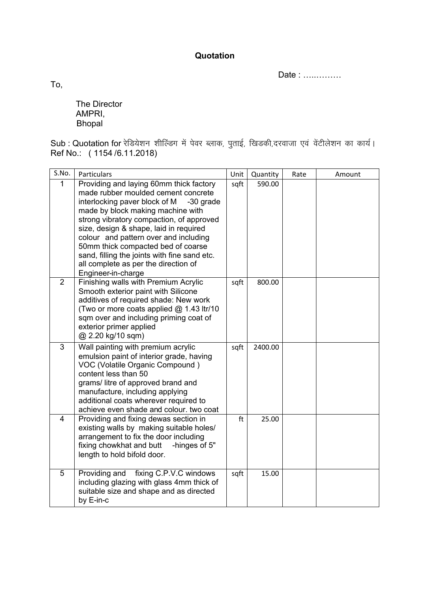**Quotation**

Date : …..………

To,

The Director AMPRI, **Bhopal** 

Sub : Quotation for रेडियेशन शील्डिंग में पेवर ब्लाक, पुताई, खिडकी,दरवाजा एवं वेंटीलेशन का कार्य। Ref No.: ( 1154 /6.11.2018)

| S.No.        | Particulars                                                                                                                                                                                                                                                                                                                                                                                                                                          | Unit | Quantity | Rate | Amount |
|--------------|------------------------------------------------------------------------------------------------------------------------------------------------------------------------------------------------------------------------------------------------------------------------------------------------------------------------------------------------------------------------------------------------------------------------------------------------------|------|----------|------|--------|
| $\mathbf{1}$ | Providing and laying 60mm thick factory<br>made rubber moulded cement concrete<br>interlocking paver block of M<br>-30 grade<br>made by block making machine with<br>strong vibratory compaction, of approved<br>size, design & shape, laid in required<br>colour and pattern over and including<br>50mm thick compacted bed of coarse<br>sand, filling the joints with fine sand etc.<br>all complete as per the direction of<br>Engineer-in-charge | sqft | 590.00   |      |        |
| 2            | Finishing walls with Premium Acrylic<br>Smooth exterior paint with Silicone<br>additives of required shade: New work<br>(Two or more coats applied @ 1.43 ltr/10<br>sqm over and including priming coat of<br>exterior primer applied<br>@ 2.20 kg/10 sqm)                                                                                                                                                                                           | sqft | 800.00   |      |        |
| 3            | Wall painting with premium acrylic<br>emulsion paint of interior grade, having<br>VOC (Volatile Organic Compound)<br>content less than 50<br>grams/litre of approved brand and<br>manufacture, including applying<br>additional coats wherever required to<br>achieve even shade and colour. two coat                                                                                                                                                | sqft | 2400.00  |      |        |
| 4            | Providing and fixing dewas section in<br>existing walls by making suitable holes/<br>arrangement to fix the door including<br>fixing chowkhat and butt<br>-hinges of 5"<br>length to hold bifold door.                                                                                                                                                                                                                                               | ft   | 25.00    |      |        |
| 5            | Providing and<br>fixing C.P.V.C windows<br>including glazing with glass 4mm thick of<br>suitable size and shape and as directed<br>by E-in-c                                                                                                                                                                                                                                                                                                         | sqft | 15.00    |      |        |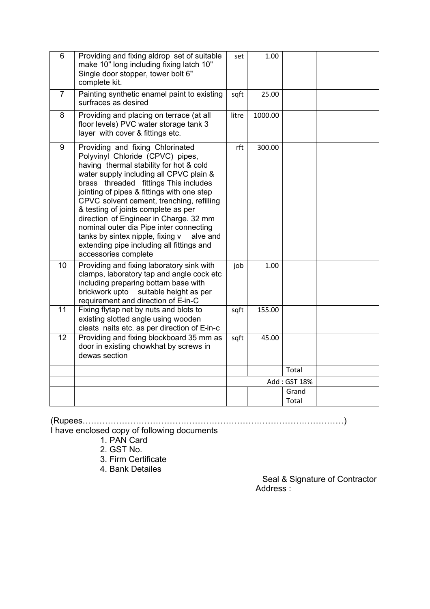| 6  | Providing and fixing aldrop set of suitable<br>make 10" long including fixing latch 10"<br>Single door stopper, tower bolt 6"<br>complete kit.                                                                                                                                                                                                                                                                                                                                                                                                  | set   | 1.00    |              |  |
|----|-------------------------------------------------------------------------------------------------------------------------------------------------------------------------------------------------------------------------------------------------------------------------------------------------------------------------------------------------------------------------------------------------------------------------------------------------------------------------------------------------------------------------------------------------|-------|---------|--------------|--|
| 7  | Painting synthetic enamel paint to existing<br>surfraces as desired                                                                                                                                                                                                                                                                                                                                                                                                                                                                             | sqft  | 25.00   |              |  |
| 8  | Providing and placing on terrace (at all<br>floor levels) PVC water storage tank 3<br>layer with cover & fittings etc.                                                                                                                                                                                                                                                                                                                                                                                                                          | litre | 1000.00 |              |  |
| 9  | Providing and fixing Chlorinated<br>Polyvinyl Chloride (CPVC) pipes,<br>having thermal stability for hot & cold<br>water supply including all CPVC plain &<br>brass threaded fittings This includes<br>jointing of pipes & fittings with one step<br>CPVC solvent cement, trenching, refilling<br>& testing of joints complete as per<br>direction of Engineer in Charge. 32 mm<br>nominal outer dia Pipe inter connecting<br>tanks by sintex nipple, fixing v<br>alve and<br>extending pipe including all fittings and<br>accessories complete | rft   | 300.00  |              |  |
| 10 | Providing and fixing laboratory sink with<br>clamps, laboratory tap and angle cock etc<br>including preparing bottam base with<br>brickwork upto<br>suitable height as per<br>requirement and direction of E-in-C                                                                                                                                                                                                                                                                                                                               | job   | 1.00    |              |  |
| 11 | Fixing flytap net by nuts and blots to<br>existing slotted angle using wooden<br>cleats naits etc. as per direction of E-in-c                                                                                                                                                                                                                                                                                                                                                                                                                   | sqft  | 155.00  |              |  |
| 12 | Providing and fixing blockboard 35 mm as<br>door in existing chowkhat by screws in<br>dewas section                                                                                                                                                                                                                                                                                                                                                                                                                                             | sqft  | 45.00   |              |  |
|    |                                                                                                                                                                                                                                                                                                                                                                                                                                                                                                                                                 |       |         | Total        |  |
|    |                                                                                                                                                                                                                                                                                                                                                                                                                                                                                                                                                 |       |         | Add: GST 18% |  |
|    |                                                                                                                                                                                                                                                                                                                                                                                                                                                                                                                                                 |       |         | Grand        |  |
|    |                                                                                                                                                                                                                                                                                                                                                                                                                                                                                                                                                 |       |         | Total        |  |

(Rupees…………………………………………………………………………………)

I have enclosed copy of following documents

1. PAN Card

2. GST No.

3. Firm Certificate

4. Bank Detailes

 Seal & Signature of Contractor Address :